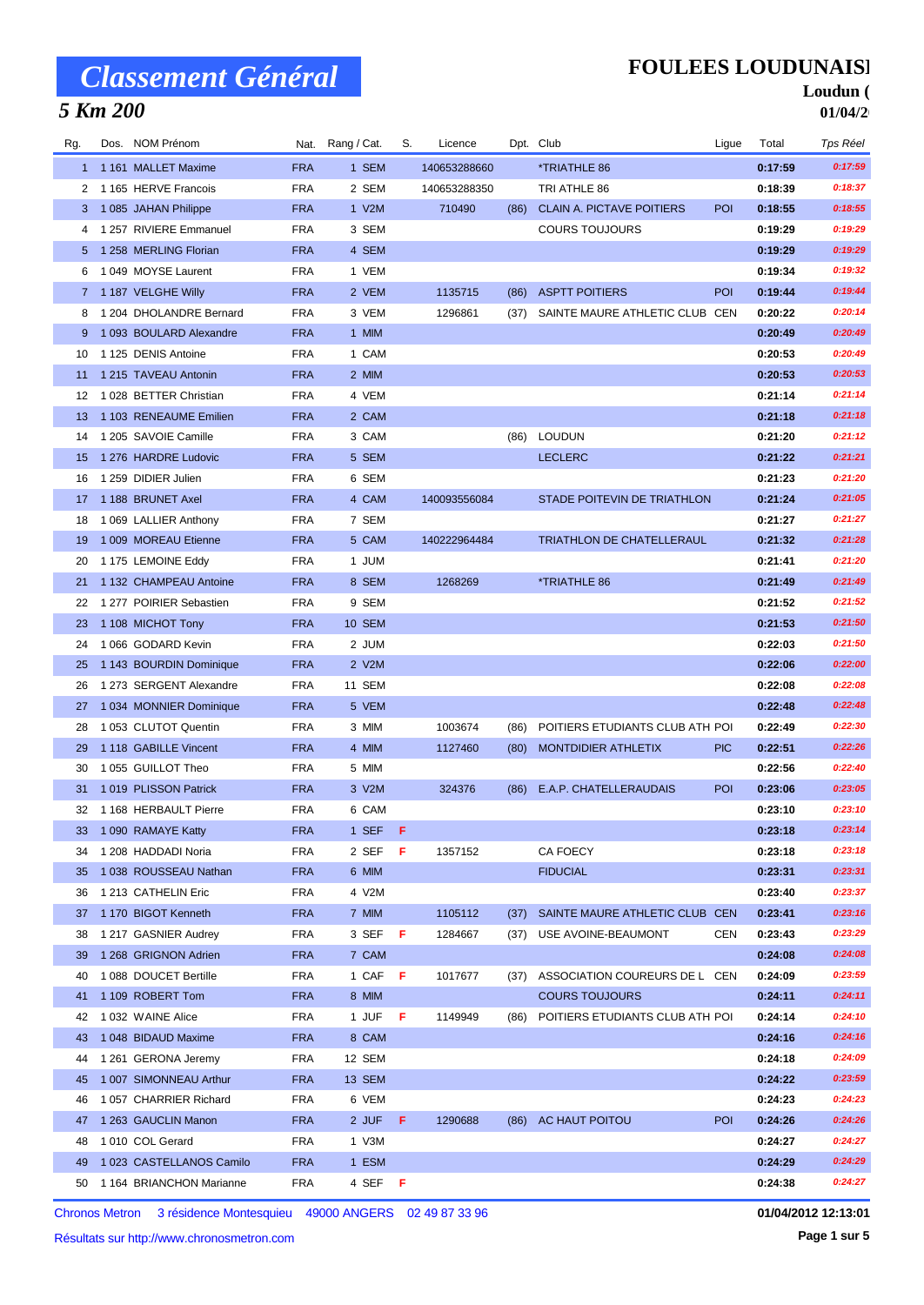## *5 Km 200*

### **FOULEES LOUDUNAISE**

#### Loudun ( **01/04/2**

| Rg. | Dos. NOM Prénom          |            | Nat. Rang / Cat. | S. | Licence      |      | Dpt. Club                        | Ligue      | Total   | Tps Réel |
|-----|--------------------------|------------|------------------|----|--------------|------|----------------------------------|------------|---------|----------|
|     | 1 1161 MALLET Maxime     | <b>FRA</b> | 1 SEM            |    | 140653288660 |      | *TRIATHLE 86                     |            | 0:17:59 | 0:17:59  |
|     | 2 1 165 HERVE Francois   | <b>FRA</b> | 2 SEM            |    | 140653288350 |      | TRI ATHLE 86                     |            | 0:18:39 | 0:18:37  |
|     | 3 1085 JAHAN Philippe    | <b>FRA</b> | 1 V2M            |    | 710490       | (86) | <b>CLAIN A. PICTAVE POITIERS</b> | <b>POI</b> | 0:18:55 | 0:18:55  |
|     | 4 1 257 RIVIERE Emmanuel | <b>FRA</b> | 3 SEM            |    |              |      | <b>COURS TOUJOURS</b>            |            | 0:19:29 | 0:19:29  |
| 5.  | 1 258 MERLING Florian    | <b>FRA</b> | 4 SEM            |    |              |      |                                  |            | 0:19:29 | 0:19:29  |
| 6   | 1049 MOYSE Laurent       | <b>FRA</b> | 1 VEM            |    |              |      |                                  |            | 0:19:34 | 0:19:32  |
|     | 7 1 187 VELGHE Willy     | <b>FRA</b> | 2 VEM            |    | 1135715      | (86) | <b>ASPTT POITIERS</b>            | <b>POI</b> | 0:19:44 | 0:19:44  |
| 8   | 1 204 DHOLANDRE Bernard  | <b>FRA</b> | 3 VEM            |    | 1296861      | (37) | SAINTE MAURE ATHLETIC CLUB CEN   |            | 0:20:22 | 0:20:14  |
| 9   | 1 093 BOULARD Alexandre  | <b>FRA</b> | 1 MIM            |    |              |      |                                  |            | 0:20:49 | 0:20:49  |
| 10  | 1 125 DENIS Antoine      | <b>FRA</b> | 1 CAM            |    |              |      |                                  |            | 0:20:53 | 0:20:49  |
| 11  | 1 215 TAVEAU Antonin     | <b>FRA</b> | 2 MIM            |    |              |      |                                  |            | 0:20:53 | 0:20:53  |
| 12  | 1028 BETTER Christian    | <b>FRA</b> | 4 VEM            |    |              |      |                                  |            | 0:21:14 | 0:21:14  |
| 13  | 1 103 RENEAUME Emilien   | <b>FRA</b> | 2 CAM            |    |              |      |                                  |            | 0:21:18 | 0:21:18  |
| 14  | 1 205 SAVOIE Camille     | <b>FRA</b> | 3 CAM            |    |              | (86) | <b>LOUDUN</b>                    |            | 0:21:20 | 0:21:12  |
| 15  | 1 276 HARDRE Ludovic     | <b>FRA</b> | 5 SEM            |    |              |      | <b>LECLERC</b>                   |            | 0:21:22 | 0:21:21  |
| 16  | 1 259 DIDIER Julien      | <b>FRA</b> | 6 SEM            |    |              |      |                                  |            | 0:21:23 | 0:21:20  |
| 17  | 1 188 BRUNET Axel        | <b>FRA</b> | 4 CAM            |    | 140093556084 |      | STADE POITEVIN DE TRIATHLON      |            | 0:21:24 | 0:21:05  |
| 18  | 1 069 LALLIER Anthony    | <b>FRA</b> | 7 SEM            |    |              |      |                                  |            | 0:21:27 | 0:21:27  |
| 19  | 1 009 MOREAU Etienne     | <b>FRA</b> | 5 CAM            |    | 140222964484 |      | TRIATHLON DE CHATELLERAUL        |            | 0:21:32 | 0:21:28  |
| 20  | 1 175 LEMOINE Eddy       | <b>FRA</b> | 1 JUM            |    |              |      |                                  |            | 0:21:41 | 0:21:20  |
|     | 1 132 CHAMPEAU Antoine   | <b>FRA</b> | 8 SEM            |    | 1268269      |      | <i><b>*TRIATHLE 86</b></i>       |            | 0:21:49 | 0:21:49  |
| 21  | 1277 POIRIER Sebastien   | <b>FRA</b> | 9 SEM            |    |              |      |                                  |            | 0:21:52 | 0:21:52  |
| 22  |                          |            |                  |    |              |      |                                  |            |         | 0:21:50  |
| 23  | 1 108 MICHOT Tony        | <b>FRA</b> | <b>10 SEM</b>    |    |              |      |                                  |            | 0:21:53 | 0:21:50  |
| 24  | 1066 GODARD Kevin        | <b>FRA</b> | 2 JUM            |    |              |      |                                  |            | 0:22:03 |          |
| 25  | 1 143 BOURDIN Dominique  | <b>FRA</b> | 2 V2M            |    |              |      |                                  |            | 0:22:06 | 0:22:00  |
| 26  | 1 273 SERGENT Alexandre  | <b>FRA</b> | 11 SEM           |    |              |      |                                  |            | 0:22:08 | 0:22:08  |
| 27  | 1 034 MONNIER Dominique  | <b>FRA</b> | 5 VEM            |    |              |      |                                  |            | 0:22:48 | 0:22:48  |
| 28  | 1053 CLUTOT Quentin      | <b>FRA</b> | 3 MIM            |    | 1003674      | (86) | POITIERS ETUDIANTS CLUB ATH POI  |            | 0:22:49 | 0:22:30  |
| 29  | 1 118 GABILLE Vincent    | <b>FRA</b> | 4 MIM            |    | 1127460      | (80) | MONTDIDIER ATHLETIX              | <b>PIC</b> | 0:22:51 | 0:22:26  |
| 30  | 1055 GUILLOT Theo        | <b>FRA</b> | 5 MIM            |    |              |      |                                  |            | 0:22:56 | 0:22:40  |
| 31  | 1019 PLISSON Patrick     | <b>FRA</b> | 3 V2M            |    | 324376       | (86) | E.A.P. CHATELLERAUDAIS           | POI        | 0:23:06 | 0:23:05  |
| 32  | 1 168 HERBAULT Pierre    | <b>FRA</b> | 6 CAM            |    |              |      |                                  |            | 0:23:10 | 0:23:10  |
|     | 33 1 090 RAMAYE Katty    | <b>FRA</b> | 1 SEF F          |    |              |      |                                  |            | 0:23:18 | 0:23:14  |
| 34  | 1 208 HADDADI Noria      | <b>FRA</b> | 2 SEF            | -F | 1357152      |      | CA FOECY                         |            | 0:23:18 | 0:23:18  |
| 35  | 1038 ROUSSEAU Nathan     | <b>FRA</b> | 6 MIM            |    |              |      | <b>FIDUCIAL</b>                  |            | 0:23:31 | 0:23:31  |
| 36  | 1 213 CATHELIN Eric      | <b>FRA</b> | 4 V2M            |    |              |      |                                  |            | 0:23:40 | 0:23:37  |
| 37  | 1 170 BIGOT Kenneth      | <b>FRA</b> | 7 MIM            |    | 1105112      | (37) | SAINTE MAURE ATHLETIC CLUB CEN   |            | 0:23:41 | 0:23:16  |
| 38  | 1 217 GASNIER Audrey     | <b>FRA</b> | 3 SEF            | F  | 1284667      | (37) | USE AVOINE-BEAUMONT              | CEN        | 0:23:43 | 0:23:29  |
| 39  | 1 268 GRIGNON Adrien     | <b>FRA</b> | 7 CAM            |    |              |      |                                  |            | 0:24:08 | 0:24:08  |
| 40  | 1 088 DOUCET Bertille    | <b>FRA</b> | 1 CAF F          |    | 1017677      | (37) | ASSOCIATION COUREURS DE L CEN    |            | 0:24:09 | 0:23:59  |
| 41  | 1 109 ROBERT Tom         | <b>FRA</b> | 8 MIM            |    |              |      | <b>COURS TOUJOURS</b>            |            | 0:24:11 | 0:24:11  |
| 42  | 1032 WAINE Alice         | <b>FRA</b> | 1 JUF            | F  | 1149949      | (86) | POITIERS ETUDIANTS CLUB ATH POI  |            | 0:24:14 | 0:24:10  |
| 43  | 1 048 BIDAUD Maxime      | <b>FRA</b> | 8 CAM            |    |              |      |                                  |            | 0:24:16 | 0:24:16  |
| 44  | 1 261 GERONA Jeremy      | <b>FRA</b> | 12 SEM           |    |              |      |                                  |            | 0:24:18 | 0:24:09  |
| 45  | 1 007 SIMONNEAU Arthur   | <b>FRA</b> | 13 SEM           |    |              |      |                                  |            | 0:24:22 | 0:23:59  |
| 46  | 1057 CHARRIER Richard    | <b>FRA</b> | 6 VEM            |    |              |      |                                  |            | 0:24:23 | 0:24:23  |
| 47  | 1 263 GAUCLIN Manon      | <b>FRA</b> | 2 JUF F          |    | 1290688      |      | (86) AC HAUT POITOU              | <b>POI</b> | 0:24:26 | 0:24:26  |
| 48  | 1010 COL Gerard          | <b>FRA</b> | 1 V3M            |    |              |      |                                  |            | 0:24:27 | 0:24:27  |
| 49  | 1 023 CASTELLANOS Camilo | <b>FRA</b> | 1 ESM            |    |              |      |                                  |            | 0:24:29 | 0:24:29  |
| 50  | 1 164 BRIANCHON Marianne | <b>FRA</b> | 4 SEF F          |    |              |      |                                  |            | 0:24:38 | 0:24:27  |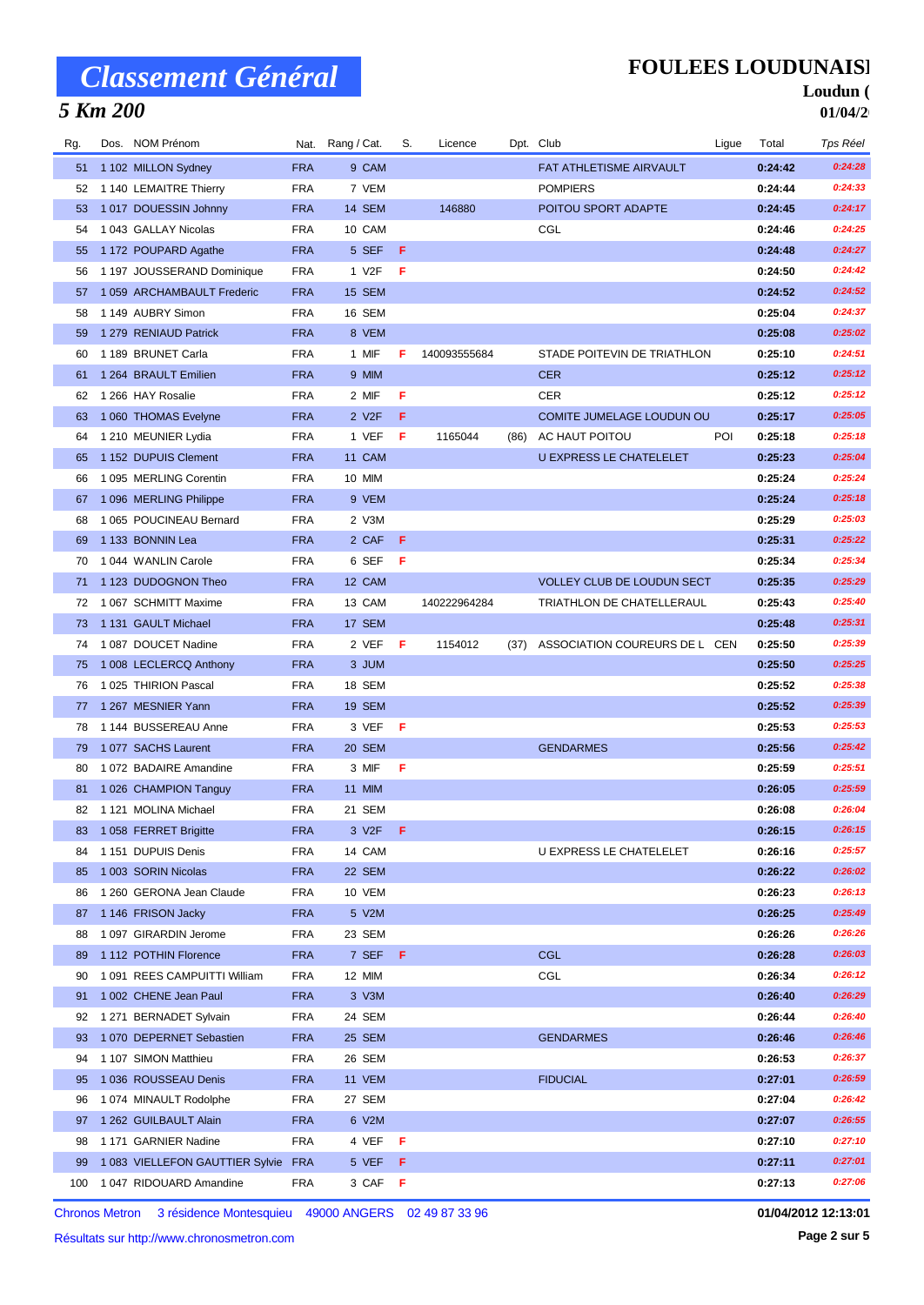## *5 Km 200*

### **FOULEES LOUDUNAISE**

#### Loudun ( **01/04/2**

| Rg. | Dos. NOM Prénom                |            | Nat. Rang / Cat.   | S.  | Licence      |      | Dpt. Club                     | Ligue | Total   | Tps Réel |
|-----|--------------------------------|------------|--------------------|-----|--------------|------|-------------------------------|-------|---------|----------|
| 51  | 1 102 MILLON Sydney            | <b>FRA</b> | 9 CAM              |     |              |      | FAT ATHLETISME AIRVAULT       |       | 0:24:42 | 0:24:28  |
| 52  | 1 140 LEMAITRE Thierry         | <b>FRA</b> | 7 VEM              |     |              |      | <b>POMPIERS</b>               |       | 0:24:44 | 0:24:33  |
| 53  | 1017 DOUESSIN Johnny           | <b>FRA</b> | 14 SEM             |     | 146880       |      | POITOU SPORT ADAPTE           |       | 0:24:45 | 0:24:17  |
| 54  | 1043 GALLAY Nicolas            | <b>FRA</b> | 10 CAM             |     |              |      | CGL                           |       | 0:24:46 | 0:24:25  |
| 55  | 1 172 POUPARD Agathe           | <b>FRA</b> | 5 SEF              | Æ   |              |      |                               |       | 0:24:48 | 0:24:27  |
| 56  | 1 197 JOUSSERAND Dominique     | <b>FRA</b> | 1 V <sub>2</sub> F | F   |              |      |                               |       | 0:24:50 | 0:24:42  |
| 57  | 1 059 ARCHAMBAULT Frederic     | <b>FRA</b> | 15 SEM             |     |              |      |                               |       | 0:24:52 | 0:24:52  |
| 58  | 1 149 AUBRY Simon              | <b>FRA</b> | 16 SEM             |     |              |      |                               |       | 0:25:04 | 0:24:37  |
| 59  | 1 279 RENIAUD Patrick          | <b>FRA</b> | 8 VEM              |     |              |      |                               |       | 0:25:08 | 0:25:02  |
| 60  | 1 189 BRUNET Carla             | <b>FRA</b> | 1 MIF              | F   | 140093555684 |      | STADE POITEVIN DE TRIATHLON   |       | 0:25:10 | 0:24:51  |
| 61  | 1 264 BRAULT Emilien           | <b>FRA</b> | 9 MIM              |     |              |      | <b>CER</b>                    |       | 0:25:12 | 0:25:12  |
| 62  | 1 266 HAY Rosalie              | <b>FRA</b> | 2 MIF              | F   |              |      | <b>CER</b>                    |       | 0:25:12 | 0:25:12  |
| 63  | 1 060 THOMAS Evelyne           | <b>FRA</b> | 2 V <sub>2</sub> F | F   |              |      | COMITE JUMELAGE LOUDUN OU     |       | 0:25:17 | 0:25:05  |
| 64  | 1 210 MEUNIER Lydia            | <b>FRA</b> | 1 VEF              | F   | 1165044      | (86) | AC HAUT POITOU                | POI   | 0:25:18 | 0:25:18  |
| 65  | 1 152 DUPUIS Clement           | <b>FRA</b> | 11 CAM             |     |              |      | U EXPRESS LE CHATELELET       |       | 0:25:23 | 0:25:04  |
| 66  | 1 095 MERLING Corentin         | <b>FRA</b> | 10 MIM             |     |              |      |                               |       | 0:25:24 | 0:25:24  |
| 67  | 1096 MERLING Philippe          | <b>FRA</b> | 9 VEM              |     |              |      |                               |       | 0:25:24 | 0:25:18  |
| 68  | 1 065 POUCINEAU Bernard        | <b>FRA</b> | 2 V3M              |     |              |      |                               |       | 0:25:29 | 0:25:03  |
| 69  | 1 133 BONNIN Lea               | <b>FRA</b> | 2 CAF              | -F  |              |      |                               |       | 0:25:31 | 0:25:22  |
| 70  | 1044 WANLIN Carole             | <b>FRA</b> | 6 SEF              | F   |              |      |                               |       | 0:25:34 | 0:25:34  |
| 71  | 1 123 DUDOGNON Theo            | <b>FRA</b> | 12 CAM             |     |              |      | VOLLEY CLUB DE LOUDUN SECT    |       | 0:25:35 | 0:25:29  |
| 72  | 1 067 SCHMITT Maxime           | <b>FRA</b> | 13 CAM             |     | 140222964284 |      | TRIATHLON DE CHATELLERAUL     |       | 0:25:43 | 0:25:40  |
| 73  | 1 131 GAULT Michael            | <b>FRA</b> | 17 SEM             |     |              |      |                               |       | 0:25:48 | 0:25:31  |
| 74  | 1087 DOUCET Nadine             | <b>FRA</b> | 2 VEF              | -F  | 1154012      | (37) | ASSOCIATION COUREURS DE L CEN |       | 0:25:50 | 0:25:39  |
| 75  | 1 008 LECLERCQ Anthony         | <b>FRA</b> | 3 JUM              |     |              |      |                               |       | 0:25:50 | 0:25:25  |
| 76  | 1025 THIRION Pascal            | <b>FRA</b> | 18 SEM             |     |              |      |                               |       | 0:25:52 | 0:25:38  |
| 77  | 1 267 MESNIER Yann             | <b>FRA</b> | <b>19 SEM</b>      |     |              |      |                               |       | 0:25:52 | 0:25:39  |
| 78  | 1 144 BUSSEREAU Anne           | <b>FRA</b> | 3 VEF              | -F. |              |      |                               |       | 0:25:53 | 0:25:53  |
| 79  | 1077 SACHS Laurent             | <b>FRA</b> | 20 SEM             |     |              |      | <b>GENDARMES</b>              |       | 0:25:56 | 0:25:42  |
| 80  | 1 072 BADAIRE Amandine         | <b>FRA</b> | 3 MIF              | F   |              |      |                               |       | 0:25:59 | 0:25:51  |
| 81  | 1 026 CHAMPION Tanguy          | <b>FRA</b> | 11 MIM             |     |              |      |                               |       | 0:26:05 | 0:25:59  |
| 82  | 1 121 MOLINA Michael           | <b>FRA</b> | 21 SEM             |     |              |      |                               |       | 0:26:08 | 0:26:04  |
|     | 83 1 058 FERRET Brigitte       | <b>FRA</b> | 3 V2F <b>F</b>     |     |              |      |                               |       | 0:26:15 | 0:26:15  |
| 84  | 1 151 DUPUIS Denis             | <b>FRA</b> | 14 CAM             |     |              |      | U EXPRESS LE CHATELELET       |       | 0:26:16 | 0:25:57  |
| 85  | 1 003 SORIN Nicolas            | <b>FRA</b> | 22 SEM             |     |              |      |                               |       | 0:26:22 | 0:26:02  |
| 86  | 1 260 GERONA Jean Claude       | <b>FRA</b> | 10 VEM             |     |              |      |                               |       | 0:26:23 | 0:26:13  |
| 87  | 1146 FRISON Jacky              | <b>FRA</b> | 5 V2M              |     |              |      |                               |       | 0:26:25 | 0:25:49  |
| 88  | 1 097 GIRARDIN Jerome          | <b>FRA</b> | 23 SEM             |     |              |      |                               |       | 0:26:26 | 0:26:26  |
| 89  | 1 112 POTHIN Florence          | <b>FRA</b> | 7 SEF F            |     |              |      | <b>CGL</b>                    |       | 0:26:28 | 0:26:03  |
| 90  | 1 091 REES CAMPUITTI William   | <b>FRA</b> | 12 MIM             |     |              |      | CGL                           |       | 0:26:34 | 0:26:12  |
| 91  | 1 002 CHENE Jean Paul          | <b>FRA</b> | 3 V3M              |     |              |      |                               |       | 0:26:40 | 0:26:29  |
| 92  | 1 271 BERNADET Sylvain         | <b>FRA</b> | 24 SEM             |     |              |      |                               |       | 0:26:44 | 0:26:40  |
| 93  | 1 070 DEPERNET Sebastien       | <b>FRA</b> | 25 SEM             |     |              |      | <b>GENDARMES</b>              |       | 0:26:46 | 0:26:46  |
| 94  | 1 107 SIMON Matthieu           | <b>FRA</b> | 26 SEM             |     |              |      |                               |       | 0:26:53 | 0:26:37  |
| 95  | 1 036 ROUSSEAU Denis           | <b>FRA</b> | 11 VEM             |     |              |      | <b>FIDUCIAL</b>               |       | 0:27:01 | 0:26:59  |
| 96  | 1074 MINAULT Rodolphe          | <b>FRA</b> | 27 SEM             |     |              |      |                               |       | 0:27:04 | 0:26:42  |
| 97  | 1 262 GUILBAULT Alain          | <b>FRA</b> | 6 V2M              |     |              |      |                               |       | 0:27:07 | 0:26:55  |
| 98  | 1 171 GARNIER Nadine           | <b>FRA</b> | 4 VEF              | - F |              |      |                               |       | 0:27:10 | 0:27:10  |
| 99  | 1083 VIELLEFON GAUTTIER Sylvie | <b>FRA</b> | 5 VEF              | - F |              |      |                               |       | 0:27:11 | 0:27:01  |
| 100 | 1 047 RIDOUARD Amandine        | FRA        | 3 CAF F            |     |              |      |                               |       | 0:27:13 | 0:27:06  |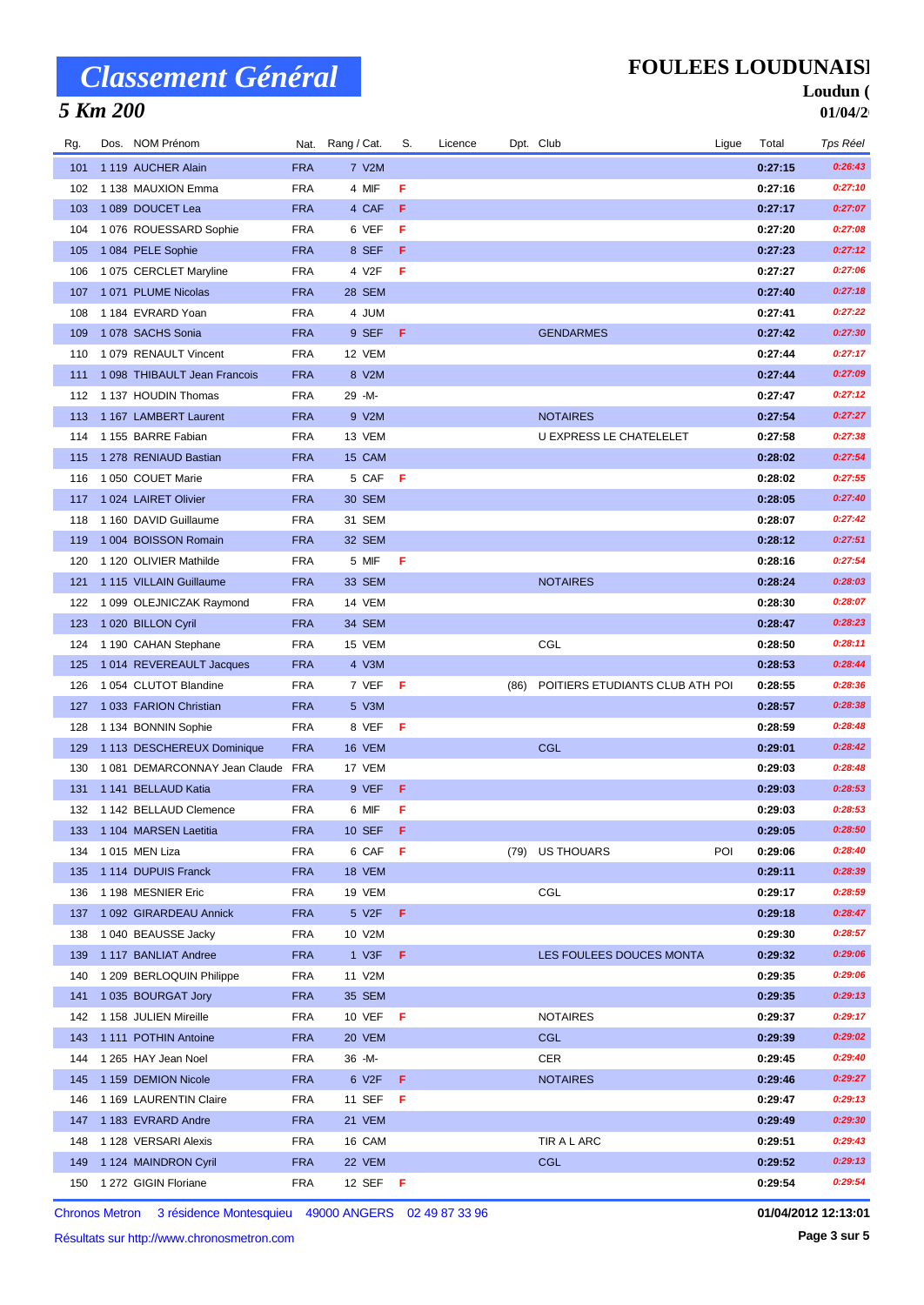## *5 Km 200*

### **FOULEES LOUDUNAISE**

#### Loudun ( **01/04/2**

| Rg.        | Dos. NOM Prénom                      |                          | Nat. Rang / Cat. | S.  | Licence |      | Dpt. Club                       | Ligue | Total              | Tps Réel           |
|------------|--------------------------------------|--------------------------|------------------|-----|---------|------|---------------------------------|-------|--------------------|--------------------|
| 101        | 1 119 AUCHER Alain                   | <b>FRA</b>               | 7 V2M            |     |         |      |                                 |       | 0:27:15            | 0:26:43            |
| 102        | 1 138 MAUXION Emma                   | <b>FRA</b>               | 4 MIF            | F   |         |      |                                 |       | 0:27:16            | 0:27:10            |
| 103        | 1089 DOUCET Lea                      | <b>FRA</b>               | 4 CAF            | F   |         |      |                                 |       | 0:27:17            | 0:27:07            |
| 104        | 1 076 ROUESSARD Sophie               | <b>FRA</b>               | 6 VEF            | F   |         |      |                                 |       | 0:27:20            | 0:27:08            |
| 105        | 1084 PELE Sophie                     | <b>FRA</b>               | 8 SEF            | F   |         |      |                                 |       | 0:27:23            | 0:27:12            |
| 106        | 1075 CERCLET Maryline                | <b>FRA</b>               | 4 V2F            | F   |         |      |                                 |       | 0:27:27            | 0:27:06            |
| 107        | 1071 PLUME Nicolas                   | <b>FRA</b>               | 28 SEM           |     |         |      |                                 |       | 0:27:40            | 0:27:18            |
| 108        | 1 184 EVRARD Yoan                    | <b>FRA</b>               | 4 JUM            |     |         |      |                                 |       | 0:27:41            | 0:27:22            |
| 109        | 1078 SACHS Sonia                     | <b>FRA</b>               | 9 SEF            | Æ   |         |      | <b>GENDARMES</b>                |       | 0:27:42            | 0:27:30            |
| 110        | 1 079 RENAULT Vincent                | <b>FRA</b>               | 12 VEM           |     |         |      |                                 |       | 0:27:44            | 0:27:17            |
| 111        | 1 098 THIBAULT Jean Francois         | <b>FRA</b>               | 8 V2M            |     |         |      |                                 |       | 0:27:44            | 0:27:09            |
| 112        | 1 137 HOUDIN Thomas                  | <b>FRA</b>               | 29 -M-           |     |         |      |                                 |       | 0:27:47            | 0:27:12            |
| 113        | 1 167 LAMBERT Laurent                | <b>FRA</b>               | 9 V2M            |     |         |      | <b>NOTAIRES</b>                 |       | 0:27:54            | 0:27:27            |
| 114        | 1155 BARRE Fabian                    | <b>FRA</b>               | 13 VEM           |     |         |      | U EXPRESS LE CHATELELET         |       | 0:27:58            | 0:27:38            |
| 115        | 1 278 RENIAUD Bastian                | <b>FRA</b>               | 15 CAM           |     |         |      |                                 |       | 0:28:02            | 0:27:54            |
| 116        | 1 050 COUET Marie                    | <b>FRA</b>               | 5 CAF            | - F |         |      |                                 |       | 0:28:02            | 0:27:55            |
| 117        | 1024 LAIRET Olivier                  | <b>FRA</b>               | 30 SEM           |     |         |      |                                 |       | 0:28:05            | 0:27:40            |
| 118        | 1 160 DAVID Guillaume                | <b>FRA</b>               | 31 SEM           |     |         |      |                                 |       | 0:28:07            | 0:27:42            |
| 119        | 1 004 BOISSON Romain                 | <b>FRA</b>               | 32 SEM           |     |         |      |                                 |       | 0:28:12            | 0:27:51            |
| 120        | 1 120 OLIVIER Mathilde               | <b>FRA</b>               | 5 MIF            | F   |         |      |                                 |       | 0:28:16            | 0:27:54            |
| 121        | 1 115 VILLAIN Guillaume              | <b>FRA</b>               | 33 SEM           |     |         |      | <b>NOTAIRES</b>                 |       | 0:28:24            | 0:28:03            |
| 122        | 1 099 OLEJNICZAK Raymond             | <b>FRA</b>               | 14 VEM           |     |         |      |                                 |       | 0:28:30            | 0:28:07            |
| 123        | 1 020 BILLON Cyril                   | <b>FRA</b>               | 34 SEM           |     |         |      |                                 |       | 0:28:47            | 0:28:23            |
| 124        | 1 190 CAHAN Stephane                 | <b>FRA</b>               | 15 VEM           |     |         |      | CGL                             |       | 0:28:50            | 0:28:11            |
| 125        | 1014 REVEREAULT Jacques              | <b>FRA</b>               | 4 V3M            |     |         |      |                                 |       | 0:28:53            | 0:28:44            |
| 126        | 1054 CLUTOT Blandine                 | <b>FRA</b>               | 7 VEF            | -F  |         | (86) | POITIERS ETUDIANTS CLUB ATH POI |       | 0:28:55            | 0:28:36            |
| 127        | 1033 FARION Christian                | <b>FRA</b>               | 5 V3M            |     |         |      |                                 |       | 0:28:57            | 0:28:38            |
| 128        | 1 134 BONNIN Sophie                  | <b>FRA</b>               | 8 VEF            | F   |         |      |                                 |       | 0:28:59            | 0:28:48            |
| 129        | 1 113 DESCHEREUX Dominique           | <b>FRA</b>               | 16 VEM           |     |         |      | <b>CGL</b>                      |       | 0:29:01            | 0:28:42            |
| 130        | 1081 DEMARCONNAY Jean Claude FRA     |                          | 17 VEM           |     |         |      |                                 |       | 0:29:03            | 0:28:48            |
| 131        | 1 141 BELLAUD Katia                  | <b>FRA</b>               | 9 VEF            | F   |         |      |                                 |       | 0:29:03            | 0:28:53<br>0:28:53 |
| 132        | 1 142 BELLAUD Clemence               | <b>FRA</b>               | 6 MIF            | F   |         |      |                                 |       | 0:29:03            | 0:28:50            |
| 133        | 1 104 MARSEN Laetitia                | <b>FRA</b>               | 10 SEF           | F   |         |      |                                 |       | 0:29:05            | 0:28:40            |
| 134<br>135 | 1015 MEN Liza<br>1 114 DUPUIS Franck | <b>FRA</b><br><b>FRA</b> | 6 CAF<br>18 VEM  | - F |         |      | (79) US THOUARS                 | POI   | 0:29:06<br>0:29:11 | 0:28:39            |
| 136        | 1 198 MESNIER Eric                   | <b>FRA</b>               | 19 VEM           |     |         |      | CGL                             |       | 0:29:17            | 0:28:59            |
| 137        | 1 092 GIRARDEAU Annick               | <b>FRA</b>               | 5 V2F            | F   |         |      |                                 |       | 0:29:18            | 0:28:47            |
| 138        | 1040 BEAUSSE Jacky                   | <b>FRA</b>               | 10 V2M           |     |         |      |                                 |       | 0:29:30            | 0:28:57            |
| 139        | 1 117 BANLIAT Andree                 | <b>FRA</b>               | 1 V3F            | F   |         |      | LES FOULEES DOUCES MONTA        |       | 0:29:32            | 0:29:06            |
| 140        | 1 209 BERLOQUIN Philippe             | <b>FRA</b>               | 11 V2M           |     |         |      |                                 |       | 0:29:35            | 0:29:06            |
| 141        | 1035 BOURGAT Jory                    | <b>FRA</b>               | 35 SEM           |     |         |      |                                 |       | 0:29:35            | 0:29:13            |
| 142        | 1 158 JULIEN Mireille                | <b>FRA</b>               | 10 VEF           | F   |         |      | <b>NOTAIRES</b>                 |       | 0:29:37            | 0:29:17            |
| 143        | 1 111 POTHIN Antoine                 | <b>FRA</b>               | 20 VEM           |     |         |      | <b>CGL</b>                      |       | 0:29:39            | 0:29:02            |
| 144        | 1 265 HAY Jean Noel                  | <b>FRA</b>               | 36 -M-           |     |         |      | CER                             |       | 0:29:45            | 0:29:40            |
| 145        | 1 159 DEMION Nicole                  | <b>FRA</b>               | 6 V2F            | F   |         |      | <b>NOTAIRES</b>                 |       | 0:29:46            | 0:29:27            |
| 146        | 1 169 LAURENTIN Claire               | <b>FRA</b>               | 11 SEF           | F   |         |      |                                 |       | 0:29:47            | 0:29:13            |
| 147        | 1 183 EVRARD Andre                   | <b>FRA</b>               | 21 VEM           |     |         |      |                                 |       | 0:29:49            | 0:29:30            |
| 148        | 1 128 VERSARI Alexis                 | <b>FRA</b>               | 16 CAM           |     |         |      | TIR A L ARC                     |       | 0:29:51            | 0:29:43            |
| 149        | 1 124 MAINDRON Cyril                 | <b>FRA</b>               | 22 VEM           |     |         |      | <b>CGL</b>                      |       | 0:29:52            | 0:29:13            |
| 150        | 1 272 GIGIN Floriane                 | <b>FRA</b>               | 12 SEF           | - F |         |      |                                 |       | 0:29:54            | 0:29:54            |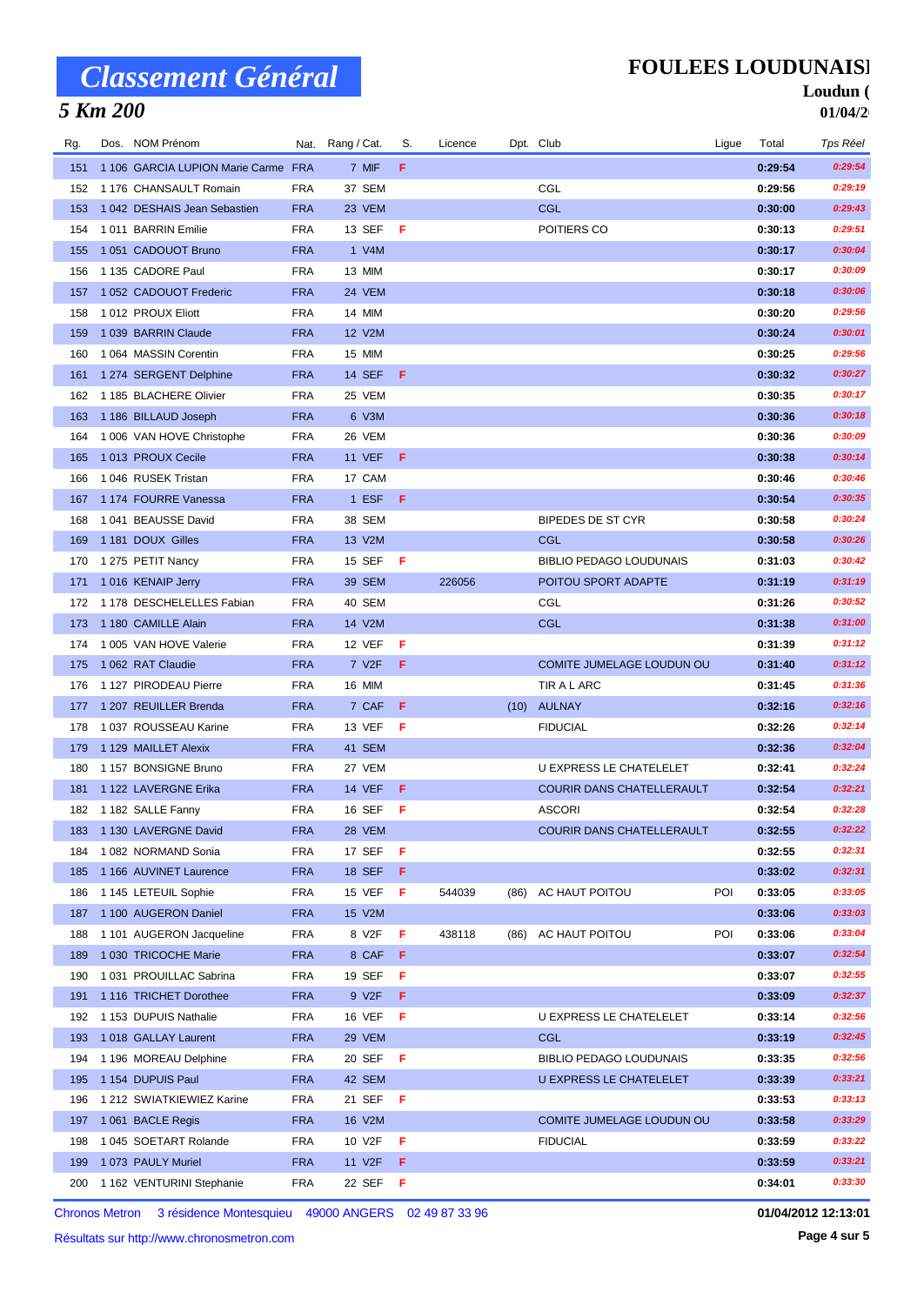## *5 Km 200*

### **FOULEES LOUDUNAISE**

#### Loudun ( **01/04/2**

| Rg. | Dos. NOM Prénom                     |            | Nat. Rang / Cat.   | S.  | Licence |      | Dpt. Club                      | Ligue | Total   | Tps Réel           |
|-----|-------------------------------------|------------|--------------------|-----|---------|------|--------------------------------|-------|---------|--------------------|
| 151 | 1 106 GARCIA LUPION Marie Carme FRA |            | 7 MIF              | F   |         |      |                                |       | 0:29:54 | 0:29:54            |
| 152 | 1 176 CHANSAULT Romain              | <b>FRA</b> | 37 SEM             |     |         |      | CGL                            |       | 0:29:56 | 0:29:19            |
| 153 | 1042 DESHAIS Jean Sebastien         | <b>FRA</b> | 23 VEM             |     |         |      | <b>CGL</b>                     |       | 0:30:00 | 0:29:43            |
| 154 | 1011 BARRIN Emilie                  | <b>FRA</b> | 13 SEF             | - F |         |      | POITIERS CO                    |       | 0:30:13 | 0:29:51            |
| 155 | 1051 CADOUOT Bruno                  | <b>FRA</b> | 1 V4M              |     |         |      |                                |       | 0:30:17 | 0:30:04            |
| 156 | 1 135 CADORE Paul                   | <b>FRA</b> | 13 MIM             |     |         |      |                                |       | 0:30:17 | 0:30:09            |
| 157 | 1052 CADOUOT Frederic               | <b>FRA</b> | 24 VEM             |     |         |      |                                |       | 0:30:18 | 0:30:06            |
| 158 | 1012 PROUX Eliott                   | <b>FRA</b> | 14 MIM             |     |         |      |                                |       | 0:30:20 | 0:29:56            |
| 159 | 1039 BARRIN Claude                  | <b>FRA</b> | 12 V2M             |     |         |      |                                |       | 0:30:24 | 0:30:01            |
| 160 | 1064 MASSIN Corentin                | <b>FRA</b> | 15 MIM             |     |         |      |                                |       | 0:30:25 | 0:29:56            |
| 161 | 1 274 SERGENT Delphine              | <b>FRA</b> | 14 SEF             | - F |         |      |                                |       | 0:30:32 | 0:30:27            |
| 162 | 1 185 BLACHERE Olivier              | <b>FRA</b> | 25 VEM             |     |         |      |                                |       | 0:30:35 | 0:30:17            |
| 163 | 1 186 BILLAUD Joseph                | <b>FRA</b> | 6 V3M              |     |         |      |                                |       | 0:30:36 | 0:30:18            |
| 164 | 1 006 VAN HOVE Christophe           | <b>FRA</b> | 26 VEM             |     |         |      |                                |       | 0:30:36 | 0:30:09            |
| 165 | 1013 PROUX Cecile                   | <b>FRA</b> | <b>11 VEF</b>      | -F  |         |      |                                |       | 0:30:38 | 0:30:14            |
| 166 | 1046 RUSEK Tristan                  | <b>FRA</b> | 17 CAM             |     |         |      |                                |       | 0:30:46 | 0:30:46            |
| 167 | 1174 FOURRE Vanessa                 | <b>FRA</b> | 1 ESF              | - F |         |      |                                |       | 0:30:54 | 0:30:35            |
| 168 | 1041 BEAUSSE David                  | <b>FRA</b> | 38 SEM             |     |         |      | <b>BIPEDES DE ST CYR</b>       |       | 0:30:58 | 0:30:24            |
| 169 | 1181 DOUX Gilles                    | <b>FRA</b> | 13 V2M             |     |         |      | CGL                            |       | 0:30:58 | 0:30:26            |
| 170 | 1 275 PETIT Nancy                   | <b>FRA</b> | 15 SEF             | - F |         |      | <b>BIBLIO PEDAGO LOUDUNAIS</b> |       | 0:31:03 | 0:30:42            |
| 171 | 1016 KENAIP Jerry                   | <b>FRA</b> | 39 SEM             |     | 226056  |      | POITOU SPORT ADAPTE            |       | 0:31:19 | 0:31:19            |
| 172 | 1 178 DESCHELELLES Fabian           | <b>FRA</b> | 40 SEM             |     |         |      | CGL                            |       | 0:31:26 | 0:30:52            |
| 173 | 1 180 CAMILLE Alain                 | <b>FRA</b> | 14 V2M             |     |         |      | <b>CGL</b>                     |       | 0:31:38 | 0:31:00            |
| 174 | 1 005 VAN HOVE Valerie              | <b>FRA</b> | 12 VEF             | -F  |         |      |                                |       | 0:31:39 | 0:31:12            |
| 175 | 1 062 RAT Claudie                   | <b>FRA</b> | 7 V2F              | F   |         |      | COMITE JUMELAGE LOUDUN OU      |       | 0:31:40 | 0:31:12            |
| 176 | 1127 PIRODEAU Pierre                | <b>FRA</b> | 16 MIM             |     |         |      | TIR A L ARC                    |       | 0:31:45 | 0:31:36            |
| 177 | 1 207 REUILLER Brenda               | <b>FRA</b> | 7 CAF              | -F. |         |      | (10) AULNAY                    |       | 0:32:16 | 0:32:16            |
| 178 | 1037 ROUSSEAU Karine                | <b>FRA</b> | 13 VEF             | -F  |         |      | <b>FIDUCIAL</b>                |       | 0:32:26 | 0:32:14            |
| 179 | 1 129 MAILLET Alexix                | <b>FRA</b> | 41 SEM             |     |         |      |                                |       | 0:32:36 | 0:32:04            |
| 180 | 1157 BONSIGNE Bruno                 | <b>FRA</b> | 27 VEM             |     |         |      | U EXPRESS LE CHATELELET        |       | 0:32:41 | 0:32:24            |
| 181 | 1 122 LAVERGNE Erika                | <b>FRA</b> | <b>14 VEF</b>      | -F. |         |      | COURIR DANS CHATELLERAULT      |       | 0:32:54 | 0:32:21            |
| 182 | 1182 SALLE Fanny                    | <b>FRA</b> | 16 SEF             | -F  |         |      | <b>ASCORI</b>                  |       | 0:32:54 | 0:32:28            |
| 183 | 1 130 LAVERGNE David                | <b>FRA</b> | <b>28 VEM</b>      |     |         |      | COURIR DANS CHATELLERAULT      |       | 0:32:55 | 0:32:22            |
| 184 | 1 082 NORMAND Sonia                 | <b>FRA</b> | 17 SEF             | F   |         |      |                                |       | 0:32:55 | 0:32:31            |
| 185 | 1 166 AUVINET Laurence              | <b>FRA</b> | <b>18 SEF</b>      | -F  |         |      |                                |       | 0:33:02 | 0:32:31            |
| 186 | 1 145 LETEUIL Sophie                | <b>FRA</b> | 15 VEF             | F.  | 544039  | (86) | AC HAUT POITOU                 | POI   | 0:33:05 | 0:33:05            |
| 187 | 1 100 AUGERON Daniel                | <b>FRA</b> | 15 V2M             |     |         |      |                                |       | 0:33:06 | 0:33:03            |
| 188 | 1 101 AUGERON Jacqueline            | <b>FRA</b> | 8 V2F              | F.  | 438118  | (86) | AC HAUT POITOU                 | POI   | 0:33:06 | 0:33:04            |
| 189 | 1030 TRICOCHE Marie                 | <b>FRA</b> | 8 CAF              | -F. |         |      |                                |       | 0:33:07 | 0:32:54            |
| 190 | 1031 PROUILLAC Sabrina              | <b>FRA</b> | 19 SEF             | F.  |         |      |                                |       | 0:33:07 | 0:32:55            |
| 191 | 1116 TRICHET Dorothee               | <b>FRA</b> | 9 V <sub>2</sub> F | F   |         |      |                                |       | 0:33:09 | 0:32:37            |
| 192 | 1 153 DUPUIS Nathalie               | <b>FRA</b> | 16 VEF             | F   |         |      | U EXPRESS LE CHATELELET        |       | 0:33:14 | 0:32:56            |
| 193 | 1018 GALLAY Laurent                 | <b>FRA</b> | 29 VEM             |     |         |      | <b>CGL</b>                     |       | 0:33:19 | 0:32:45            |
| 194 | 1 196 MOREAU Delphine               | <b>FRA</b> | 20 SEF             | - F |         |      | <b>BIBLIO PEDAGO LOUDUNAIS</b> |       | 0:33:35 | 0:32:56            |
| 195 | 1 154 DUPUIS Paul                   | <b>FRA</b> | 42 SEM             |     |         |      | U EXPRESS LE CHATELELET        |       | 0:33:39 | 0:33:21            |
| 196 | 1 212 SWIATKIEWIEZ Karine           | <b>FRA</b> | 21 SEF             | - F |         |      |                                |       | 0:33:53 | 0:33:13            |
| 197 | 1061 BACLE Regis                    | <b>FRA</b> | 16 V2M             |     |         |      | COMITE JUMELAGE LOUDUN OU      |       | 0:33:58 | 0:33:29            |
| 198 | 1045 SOETART Rolande                | <b>FRA</b> | 10 V2F             | - F |         |      | <b>FIDUCIAL</b>                |       | 0:33:59 | 0:33:22<br>0:33:21 |
| 199 | 1073 PAULY Muriel                   | <b>FRA</b> | 11 V2F             | - F |         |      |                                |       | 0:33:59 |                    |
|     | 200 1 162 VENTURINI Stephanie       | <b>FRA</b> | 22 SEF             | - F |         |      |                                |       | 0:34:01 | 0:33:30            |